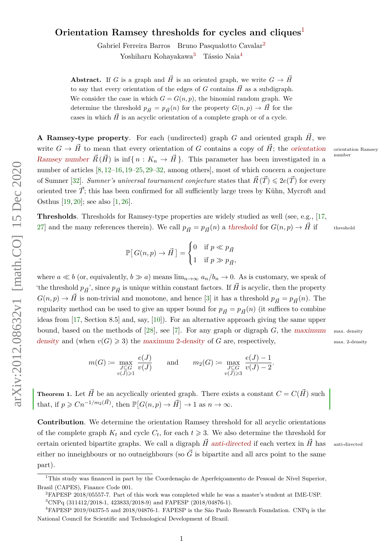# **Orientation Ramsey thresholds for cycles and cliques**[1](#page-0-0)

Gabriel Ferreira Barros Bruno Pasqualotto Cavalar[2](#page-0-1)

Yoshiharu Kohayakawa<sup>[3](#page-0-2)</sup> Tássio Naia<sup>[4](#page-0-3)</sup>

**Abstract.** If *G* is a graph and  $\vec{H}$  is an oriented graph, we write  $G \rightarrow \vec{H}$ to say that every orientation of the edges of *G* contains  $\vec{H}$  as a subdigraph. We consider the case in which  $G = G(n, p)$ , the binomial random graph. We determine the threshold  $p_{\vec{H}} = p_{\vec{H}}(n)$  for the property  $G(n, p) \rightarrow \vec{H}$  for the cases in which  $\vec{H}$  is an acyclic orientation of a complete graph or of a cycle.

**A Ramsey-type property**. For each (undirected) graph  $G$  and oriented graph  $\vec{H}$ , we write  $G \to \vec{H}$  to mean that every orientation of *G* contains a copy of  $\vec{H}$ ; the orientation orientation Ramsey Ramsey number  $\vec{R}(\vec{H})$  is inf{ $n : K_n \to \vec{H}$ }. This parameter has been investigated in a number of articles [\[8,](#page-12-0) [12–](#page-12-1)[16,](#page-12-2) [19–](#page-12-3)[25,](#page-12-4) [29–](#page-12-5)[32,](#page-12-6) among others], most of which concern a conjecture of Sumner [\[32\]](#page-12-6). *Sumner's universal tournament conjecture* states that  $\vec{R}(\vec{T}) \leq 2e(\vec{T})$  for every oriented tree  $\vec{T}$ ; this has been confirmed for all sufficiently large trees by Kühn, Mycroft and Osthus [\[19,](#page-12-3) [20\]](#page-12-7); see also [\[1,](#page-11-0) [26\]](#page-12-8).

**Thresholds**. Thresholds for Ramsey-type properties are widely studied as well (see, e.g., [\[17,](#page-12-9) [27\]](#page-12-10) and the many references therein). We call  $p_{\vec{H}} = p_{\vec{H}}(n)$  a threshold for  $G(n, p) \to \vec{H}$  if threshold

$$
\mathbb{P}[G(n,p) \to \vec{H}] = \begin{cases} 0 & \text{if } p \ll p_{\vec{H}} \\ 1 & \text{if } p \gg p_{\vec{H}}, \end{cases}
$$

where  $a \ll b$  (or, equivalently,  $b \gg a$ ) means  $\lim_{n\to\infty} a_n/b_n \to 0$ . As is customary, we speak of 'the threshold  $p_{\vec{H}}$ ', since  $p_{\vec{H}}$  is unique within constant factors. If  $\vec{H}$  is acyclic, then the property  $G(n, p) \to \vec{H}$  is non-trivial and monotone, and hence [\[3\]](#page-11-1) it has a threshold  $p_{\vec{H}} = p_{\vec{H}}(n)$ . The regularity method can be used to give an upper bound for  $p_{\vec{H}} = p_{\vec{H}}(n)$  (it suffices to combine ideas from [\[17,](#page-12-9) Section 8.5] and, say, [\[10\]](#page-12-11)). For an alternative approach giving the same upper bound, based on the methods of [\[28\]](#page-12-12), see [\[7\]](#page-12-13). For any graph or digraph  $G$ , the maximum max. density density and (when  $v(G) \geq 3$ ) the maximum 2-density of *G* are, respectively, max. 2-density

$$
m(G) \coloneqq \max_{\substack{J \subseteq G \\ v(J) \ge 1}} \frac{e(J)}{v(J)} \quad \text{and} \quad m_2(G) \coloneqq \max_{\substack{J \subseteq G \\ v(J) \ge 3}} \frac{e(J) - 1}{v(J) - 2}.
$$

<span id="page-0-4"></span>**Theorem 1.** Let  $\vec{H}$  be an acyclically oriented graph. There exists a constant  $C = C(\vec{H})$  such that, if  $p \geq C n^{-1/m_2(\vec{H})}$ , then  $\mathbb{P}[G(n,p) \to \vec{H}] \to 1$  as  $n \to \infty$ .

**Contribution**. We determine the orientation Ramsey threshold for all acyclic orientations of the complete graph  $K_t$  and cycle  $C_t$ , for each  $t \geq 3$ . We also determine the threshold for certain oriented bipartite graphs. We call a digraph  $\vec{H}$  anti-directed if each vertex in  $\vec{H}$  has anti-directed either no inneighbours or no outneighbours (so  $\vec{G}$  is bipartite and all arcs point to the same part).

number

<span id="page-0-0"></span><sup>&</sup>lt;sup>1</sup>This study was financed in part by the Coordenação de Aperfeicoamento de Pessoal de Nível Superior, Brasil (CAPES), Finance Code 001.

<span id="page-0-2"></span><span id="page-0-1"></span><sup>2</sup>FAPESP 2018/05557-7. Part of this work was completed while he was a master's student at IME-USP.

<span id="page-0-3"></span> ${}^{3}$ CNPq (311412/2018-1, 423833/2018-9) and FAPESP (2018/04876-1).

<sup>4</sup>FAPESP 2019/04375-5 and 2018/04876-1. FAPESP is the São Paulo Research Foundation. CNPq is the National Council for Scientific and Technological Development of Brazil.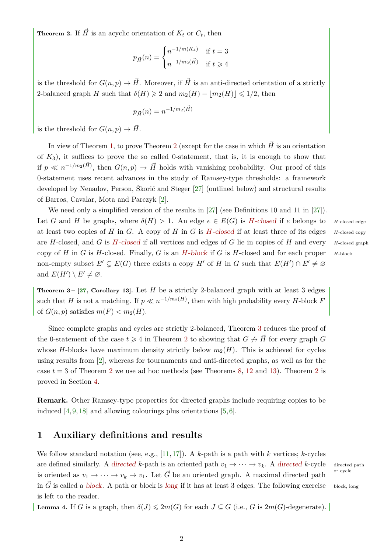<span id="page-1-0"></span>**Theorem 2.** If  $\vec{H}$  is an acyclic orientation of  $K_t$  or  $C_t$ , then

$$
p_{\vec{H}}(n) = \begin{cases} n^{-1/m(K_4)} & \text{if } t = 3\\ n^{-1/m_2(\vec{H})} & \text{if } t \ge 4 \end{cases}
$$

is the threshold for  $G(n, p) \to \vec{H}$ . Moreover, if  $\vec{H}$  is an anti-directed orientation of a strictly 2-balanced graph *H* such that  $\delta(H) \geq 2$  and  $m_2(H) - |m_2(H)| \leq 1/2$ , then

$$
p_{\vec{H}}(n) = n^{-1/m_2(\vec{H})}
$$

is the threshold for  $G(n, p) \to \vec{H}$ .

In view of Theorem [1,](#page-0-4) to prove Theorem [2](#page-1-0) (except for the case in which  $\vec{H}$  is an orientation of  $K_3$ ), it suffices to prove the so called 0-statement, that is, it is enough to show that if  $p \ll n^{-1/m_2(\vec{H})}$ , then  $G(n, p) \to \vec{H}$  holds with vanishing probability. Our proof of this 0-statement uses recent advances in the study of Ramsey-type thresholds: a framework developed by Nenadov, Person, Škorić and Steger [\[27\]](#page-12-10) (outlined below) and structural results of Barros, Cavalar, Mota and Parczyk [\[2\]](#page-11-2).

We need only a simplified version of the results in [\[27\]](#page-12-10) (see Definitions 10 and 11 in [27]). Let *G* and *H* be graphs, where  $\delta(H) > 1$ . An edge  $e \in E(G)$  is *H*-closed if *e* belongs to *H*-closed edge at least two copies of *H* in *G*. A copy of *H* in *G* is *H*-closed if at least three of its edges *H*-closed copy are *H*-closed, and *G* is *H*-closed if all vertices and edges of *G* lie in copies of *H* and every *<sup>H</sup>*-closed graph copy of *H* in *G* is *H*-closed. Finally, *G* is an *H*-block if *G* is *H*-closed and for each proper *<sup>H</sup>*-block non-empty subset  $E' \subsetneq E(G)$  there exists a copy  $H'$  of  $H$  in  $G$  such that  $E(H') \cap E' \neq \emptyset$ and  $E(H') \setminus E' \neq \emptyset$ .

<span id="page-1-1"></span>**Theorem 3 –**  $[27,$  **Corollary 13].** Let *H* be a strictly 2-balanced graph with at least 3 edges such that *H* is not a matching. If  $p \ll n^{-1/m_2(H)}$ , then with high probability every *H*-block *F* of  $G(n, p)$  satisfies  $m(F) < m<sub>2</sub>(H)$ .

Since complete graphs and cycles are strictly 2-balanced, Theorem [3](#page-1-1) reduces the proof of the 0-statement of the case  $t \ge 4$  in Theorem [2](#page-1-0) to showing that  $G \nrightarrow \vec{H}$  for every graph  $G$ whose *H*-blocks have maximum density strictly below  $m_2(H)$ . This is achieved for cycles using results from [\[2\]](#page-11-2), whereas for tournaments and anti-directed graphs, as well as for the case  $t = 3$  of Theorem [2](#page-1-0) we use ad hoc methods (see Theorems [8,](#page-3-0) [12](#page-4-0) and [13\)](#page-5-0). Theorem 2 is proved in Section [4.](#page-11-3)

**Remark.** Other Ramsey-type properties for directed graphs include requiring copies to be induced [\[4,](#page-11-4) [9,](#page-12-14) [18\]](#page-12-15) and allowing colourings plus orientations [\[5,](#page-11-5) [6\]](#page-12-16).

## **1 Auxiliary definitions and results**

We follow standard notation (see, e.g., [\[11,](#page-12-17) [17\]](#page-12-9)). A *k*-path is a path with *k* vertices; *k*-cycles are defined similarly. A directed *k*-path is an oriented path  $v_1 \to \cdots \to v_k$ . A directed *k*-cycle directed path is oriented as  $v_1 \to \cdots \to v_k \to v_1$ . Let  $\vec{G}$  be an oriented graph. A maximal directed path in  $\vec{G}$  is called a block. A path or block is long if it has at least 3 edges. The following exercise block, long is left to the reader.

or cycle

<span id="page-1-2"></span>**Lemma 4.** If *G* is a graph, then  $\delta(J) \leq 2m(G)$  for each  $J \subseteq G$  (i.e., *G* is  $2m(G)$ -degenerate).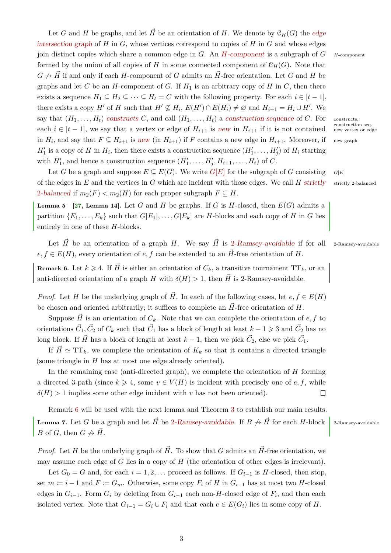with  $H'_1$ , and hence a construction sequence  $(H'_1, \ldots, H'_j, H_{i+1}, \ldots, H_t)$  of C. Let *G* be a graph and suppose  $E \subseteq E(G)$ . We write  $G[E]$  for the subgraph of *G* consisting  $G[E]$ of the edges in  $E$  and the vertices in  $G$  which are incident with those edges. We call  $H$  strictly strictly 2-balanced 2-balanced if  $m_2(F) < m_2(H)$  for each proper subgraph  $F \subseteq H$ . **Lemma 5 – [\[27,](#page-12-10) Lemma 14].** Let *G* and *H* be graphs. If *G* is *H*-closed, then  $E(G)$  admits a partition  $\{E_1, \ldots, E_k\}$  such that  $G[E_1], \ldots, G[E_k]$  are *H*-blocks and each copy of *H* in *G* lies entirely in one of these *H*-blocks.

 $e, f \in E(H)$ , every orientation of  $e, f$  can be extended to an  $\vec{H}$ -free orientation of *H*.

<span id="page-2-0"></span>**Remark 6.** Let  $k \ge 4$ . If  $\vec{H}$  is either an orientation of  $C_k$ , a transitive tournament  $TT_k$ , or an anti-directed orientation of a graph *H* with  $\delta(H) > 1$ , then  $\vec{H}$  is 2-Ramsey-avoidable.

*Proof.* Let *H* be the underlying graph of *H*. In each of the following cases, let  $e, f \in E(H)$ be chosen and oriented arbitrarily; it suffices to complete an  $\vec{H}$ -free orientation of  $H$ .

Suppose  $\vec{H}$  is an orientation of  $C_k$ . Note that we can complete the orientation of  $e, f$  to orientations  $\vec{C}_1, \vec{C}_2$  of  $C_k$  such that  $\vec{C}_1$  has a block of length at least  $k - 1 \geq 3$  and  $\vec{C}_2$  has no long block. If  $\vec{H}$  has a block of length at least  $k-1$ , then we pick  $\vec{C}_2$ , else we pick  $\vec{C}_1$ .

If  $\vec{H} \simeq TT_k$ , we complete the orientation of  $K_k$  so that it contains a directed triangle (some triangle in *H* has at most one edge already oriented).

In the remaining case (anti-directed graph), we complete the orientation of *H* forming a directed 3-path (since  $k \geq 4$ , some  $v \in V(H)$  is incident with precisely one of  $e, f$ , while  $\delta(H)$  *>* 1 implies some other edge incident with *v* has not been oriented).  $\Box$ 

<span id="page-2-2"></span>Remark [6](#page-2-0) will be used with the next lemma and Theorem [3](#page-1-1) to establish our main results. **Lemma 7.** Let *G* be a graph and let  $\vec{H}$  be 2-Ramsey-avoidable. If  $B \nleftrightarrow \vec{H}$  for each *H*-block 2-Ramsey-avoidable *B* of *G*, then  $G \nrightarrow \vec{H}$ .

*Proof.* Let *H* be the underlying graph of  $\vec{H}$ . To show that *G* admits an  $\vec{H}$ -free orientation, we may assume each edge of *G* lies in a copy of *H* (the orientation of other edges is irrelevant).

Let  $G_0 = G$  and, for each  $i = 1, 2, \ldots$  proceed as follows. If  $G_{i-1}$  is *H*-closed, then stop, set  $m ≔ i - 1$  and  $F ≅ G_m$ . Otherwise, some copy  $F_i$  of  $H$  in  $G_{i-1}$  has at most two  $H$ -closed edges in  $G_{i-1}$ . Form  $G_i$  by deleting from  $G_{i-1}$  each non-*H*-closed edge of  $F_i$ , and then each isolated vertex. Note that  $G_{i-1} = G_i \cup F_i$  and that each  $e \in E(G_i)$  lies in some copy of *H*.

<span id="page-2-1"></span>Let  $\vec{H}$  be an orientation of a graph *H*. We say  $\vec{H}$  is 2-Ramsey-avoidable if for all 2-Ramsey-avoidable

 $H'_1$  is a copy of *H* in  $H_i$ , then there exists a construction sequence  $(H'_1, \ldots, H'_j)$  of  $H_i$  starting

Let *G* and *H* be graphs, and let  $\vec{H}$  be an orientation of *H*. We denote by  $\mathcal{C}_H(G)$  the edge intersection graph of  $H$  in  $G$ , whose vertices correspond to copies of  $H$  in  $G$  and whose edges join distinct copies which share a common edge in *G*. An *H*-component is a subgraph of *G <sup>H</sup>*-component formed by the union of all copies of *H* in some connected component of  $\mathcal{C}_H(G)$ . Note that  $G \nrightarrow \vec{H}$  if and only if each *H*-component of *G* admits an  $\vec{H}$ -free orientation. Let *G* and *H* be graphs and let  $C$  be an  $H$ -component of  $G$ . If  $H_1$  is an arbitrary copy of  $H$  in  $C$ , then there exists a sequence  $H_1 \subseteq H_2 \subseteq \cdots \subseteq H_t = C$  with the following property. For each  $i \in [t-1]$ , there exists a copy *H*<sup>*'*</sup> of *H* such that  $H' \nsubseteq H_i$ ,  $E(H') \cap E(H_i) \neq \emptyset$  and  $H_{i+1} = H_i \cup H'$ . We say that  $(H_1, \ldots, H_t)$  constructs C, and call  $(H_1, \ldots, H_t)$  a construction sequence of C. For constructs, each  $i \in [t-1]$ , we say that a vertex or edge of  $H_{i+1}$  is new in  $H_{i+1}$  if it is not contained new vertex or edge in  $H_i$ , and say that  $F \subseteq H_{i+1}$  is new (in  $H_{i+1}$ ) if  $F$  contains a new edge in  $H_{i+1}$ . Moreover, if new graph

construction seq.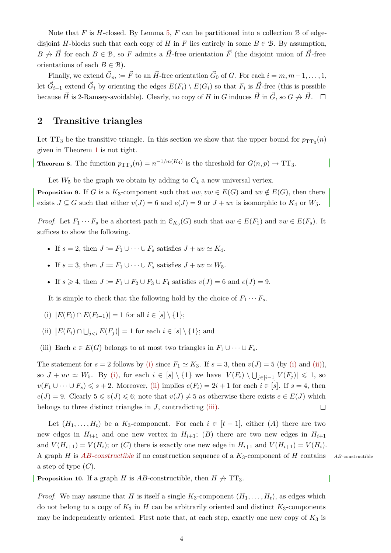Note that *F* is *H*-closed. By Lemma [5,](#page-2-1) *F* can be partitioned into a collection B of edgedisjoint *H*-blocks such that each copy of *H* in *F* lies entirely in some  $B \in \mathcal{B}$ . By assumption,  $B \nrightarrow \vec{H}$  for each  $B \in \mathcal{B}$ , so *F* admits a  $\vec{H}$ -free orientation  $\vec{F}$  (the disjoint union of  $\vec{H}$ -free orientations of each  $B \in \mathcal{B}$ ).

Finally, we extend  $\vec{G}_m := \vec{F}$  to an  $\vec{H}$ -free orientation  $\vec{G}_0$  of *G*. For each  $i = m, m-1, \ldots, 1$ , let  $\vec{G}_{i-1}$  extend  $\vec{G}_i$  by orienting the edges  $E(F_i) \setminus E(G_i)$  so that  $F_i$  is  $\vec{H}$ -free (this is possible because  $\vec{H}$  is 2-Ramsey-avoidable). Clearly, no copy of *H* in *G* induces  $\vec{H}$  in  $\vec{G}$ , so  $G \nleftrightarrow \vec{H}$ .  $\square$ 

### **2 Transitive triangles**

Let  $TT_3$  be the transitive triangle. In this section we show that the upper bound for  $p_{TT_3}(n)$ given in Theorem [1](#page-0-4) is not tight.

<span id="page-3-0"></span>**Theorem 8.** The function  $p_{TT_3}(n) = n^{-1/m(K_4)}$  is the threshold for  $G(n, p) \to TT_3$ .

Let  $W_5$  be the graph we obtain by adding to  $C_4$  a new universal vertex.

<span id="page-3-5"></span>**Proposition 9.** If *G* is a *K*<sub>3</sub>-component such that  $uw, vw \in E(G)$  and  $uv \notin E(G)$ , then there exists  $J \subseteq G$  such that either  $v(J) = 6$  and  $e(J) = 9$  or  $J + uv$  is isomorphic to  $K_4$  or  $W_5$ .

*Proof.* Let  $F_1 \cdots F_s$  be a shortest path in  $\mathcal{C}_{K_3}(G)$  such that  $uw \in E(F_1)$  and  $vw \in E(F_s)$ . It suffices to show the following.

- If  $s = 2$ , then  $J \coloneqq F_1 \cup \cdots \cup F_s$  satisfies  $J + uv \simeq K_4$ .
- If  $s = 3$ , then  $J \coloneqq F_1 \cup \cdots \cup F_s$  satisfies  $J + uv \simeq W_5$ .
- If  $s \geq 4$ , then  $J \coloneq F_1 \cup F_2 \cup F_3 \cup F_4$  satisfies  $v(J) = 6$  and  $e(J) = 9$ .

It is simple to check that the following hold by the choice of  $F_1 \cdots F_s$ .

- <span id="page-3-1"></span>(i)  $|E(F_i) \cap E(F_{i-1})| = 1$  for all  $i \in [s] \setminus \{1\};$
- <span id="page-3-2"></span>(ii)  $|E(F_i) \cap \bigcup_{j < i} E(F_j)| = 1$  for each  $i \in [s] \setminus \{1\}$ ; and
- <span id="page-3-3"></span>(iii) Each  $e \in E(G)$  belongs to at most two triangles in  $F_1 \cup \cdots \cup F_s$ .

The statement for  $s = 2$  follows by [\(i\)](#page-3-1) since  $F_1 \simeq K_3$ . If  $s = 3$ , then  $v(J) = 5$  (by (i) and [\(ii\)\)](#page-3-2), so  $J + uv \simeq W_5$ . By [\(i\),](#page-3-1) for each  $i \in [s] \setminus \{1\}$  we have  $|V(F_i) \setminus \bigcup_{j \in [i-1]} V(F_j)| \leq 1$ , so  $v(F_1 \cup \cdots \cup F_s) \leqslant s + 2$ . Moreover, [\(ii\)](#page-3-2) implies  $e(F_i) = 2i + 1$  for each  $i \in [s]$ . If  $s = 4$ , then  $e(J) = 9$ . Clearly  $5 \le v(J) \le 6$ ; note that  $v(J) \ne 5$  as otherwise there exists  $e \in E(J)$  which belongs to three distinct triangles in *J*, contradicting [\(iii\).](#page-3-3)  $\Box$ 

Let  $(H_1, \ldots, H_t)$  be a  $K_3$ -component. For each  $i \in [t-1]$ , either  $(A)$  there are two new edges in  $H_{i+1}$  and one new vertex in  $H_{i+1}$ ; (*B*) there are two new edges in  $H_{i+1}$ and  $V(H_{i+1}) = V(H_i)$ ; or  $(C)$  there is exactly one new edge in  $H_{i+1}$  and  $V(H_{i+1}) = V(H_i)$ . A graph *H* is *AB*-constructible if no construction sequence of a *K*3-component of *H* contains *AB*-constructible a step of type (*C*).

<span id="page-3-4"></span>**Proposition 10.** If a graph *H* is *AB*-constructible, then  $H \nrightarrow T T_3$ .

*Proof.* We may assume that *H* is itself a single  $K_3$ -component  $(H_1, \ldots, H_t)$ , as edges which do not belong to a copy of  $K_3$  in *H* can be arbitrarily oriented and distinct  $K_3$ -components may be independently oriented. First note that, at each step, exactly one new copy of *K*<sup>3</sup> is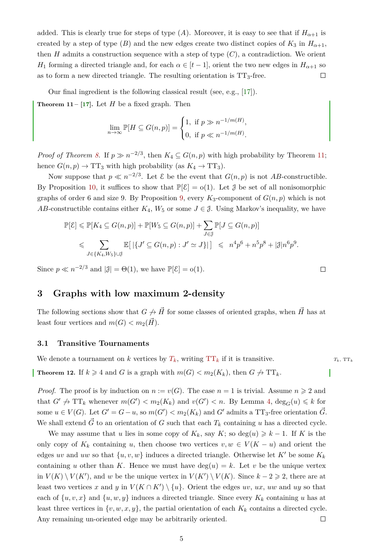added. This is clearly true for steps of type  $(A)$ . Moreover, it is easy to see that if  $H_{\alpha+1}$  is created by a step of type (*B*) and the new edges create two distinct copies of  $K_3$  in  $H_{\alpha+1}$ , then  $H$  admits a construction sequence with a step of type  $(C)$ , a contradiction. We orient *H*<sub>1</sub> forming a directed triangle and, for each  $\alpha \in [t-1]$ , orient the two new edges in  $H_{\alpha+1}$  so as to form a new directed triangle. The resulting orientation is  $TT_3$ -free.  $\Box$ 

<span id="page-4-1"></span>Our final ingredient is the following classical result (see, e.g., [\[17\]](#page-12-9)). **Theorem 11** –  $\left[17\right]$ . Let *H* be a fixed graph. Then

$$
\lim_{n \to \infty} \mathbb{P}[H \subseteq G(n, p)] = \begin{cases} 1, & \text{if } p \gg n^{-1/m(H)}, \\ 0, & \text{if } p \ll n^{-1/m(H)}. \end{cases}
$$

*Proof of Theorem [8.](#page-3-0)* If  $p \gg n^{-2/3}$ , then  $K_4 \subseteq G(n, p)$  with high probability by Theorem [11;](#page-4-1) hence  $G(n, p) \to TT_3$  with high probability (as  $K_4 \to TT_3$ ).

Now suppose that  $p \ll n^{-2/3}$ . Let  $\mathcal E$  be the event that  $G(n, p)$  is not *AB*-constructible. By Proposition [10,](#page-3-4) it suffices to show that  $\mathbb{P}[\mathcal{E}] = o(1)$ . Let  $\mathcal{J}$  be set of all nonisomorphic graphs of order 6 and size 9. By Proposition [9,](#page-3-5) every  $K_3$ -component of  $G(n, p)$  which is not *AB*-constructible contains either  $K_4$ ,  $W_5$  or some  $J \in \mathcal{J}$ . Using Markov's inequality, we have

$$
\mathbb{P}[\mathcal{E}] \leq \mathbb{P}[K_4 \subseteq G(n, p)] + \mathbb{P}[W_5 \subseteq G(n, p)] + \sum_{J \in \mathcal{J}} \mathbb{P}[J \subseteq G(n, p)]
$$
  

$$
\leqslant \sum_{J \in \{K_4, W_5\} \cup \mathcal{J}} \mathbb{E}\big[\big|\{J' \subseteq G(n, p) : J' \simeq J\}\big|\big] \leqslant n^4 p^6 + n^5 p^8 + |\mathcal{J}| n^6 p^9.
$$

 $\Box$ 

Since  $p \ll n^{-2/3}$  and  $|\mathcal{J}| = \Theta(1)$ , we have  $\mathbb{P}[\mathcal{E}] = o(1)$ .

# **3 Graphs with low maximum 2-density**

The following sections show that  $G \nightharpoonup \vec{H}$  for some classes of oriented graphs, when  $\vec{H}$  has at least four vertices and  $m(G) < m_2(H)$ .

### **3.1 Transitive Tournaments**

<span id="page-4-0"></span>We denote a tournament on *k* vertices by  $T_k$ , writing  $TT_k$  if it is transitive.  $T_k, TT_k$ **Theorem 12.** If  $k \ge 4$  and *G* is a graph with  $m(G) < m_2(K_k)$ , then  $G \nrightarrow T_{k}$ .

*Proof.* The proof is by induction on  $n := v(G)$ . The case  $n = 1$  is trivial. Assume  $n \geq 2$  and that  $G' \nightharpoonup T T_k$  whenever  $m(G') < m_2(K_k)$  and  $v(G') < n$ . By Lemma [4,](#page-1-2)  $\deg_G(u) \leq k$  for some  $u \in V(G)$ . Let  $G' = G - u$ , so  $m(G') < m_2(K_k)$  and  $G'$  admits a TT<sub>3</sub>-free orientation  $\vec{G}$ . We shall extend  $\vec{G}$  to an orientation of *G* such that each  $T_k$  containing *u* has a directed cycle.

We may assume that *u* lies in some copy of  $K_k$ , say  $K$ ; so deg(*u*)  $\geq k-1$ . If K is the only copy of  $K_k$  containing *u*, then choose two vertices  $v, w \in V(K - u)$  and orient the edges *uv* and *uw* so that  $\{u, v, w\}$  induces a directed triangle. Otherwise let K' be some  $K_k$ containing *u* other than *K*. Hence we must have  $\deg(u) = k$ . Let *v* be the unique vertex in  $V(K) \setminus V(K')$ , and *w* be the unique vertex in  $V(K') \setminus V(K)$ . Since  $k - 2 \geq 2$ , there are at least two vertices *x* and *y* in  $V(K \cap K') \setminus \{u\}$ . Orient the edges *uv*, *ux*, *uw* and *uy* so that each of  $\{u, v, x\}$  and  $\{u, w, y\}$  induces a directed triangle. Since every  $K_k$  containing *u* has at least three vertices in  $\{v, w, x, y\}$ , the partial orientation of each  $K_k$  contains a directed cycle. Any remaining un-oriented edge may be arbitrarily oriented.  $\Box$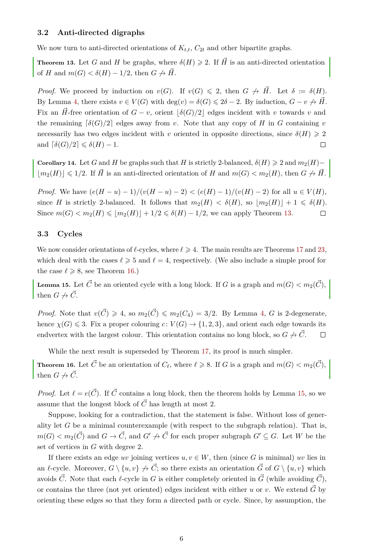#### **3.2 Anti-directed digraphs**

We now turn to anti-directed orientations of  $K_{t,t}$ ,  $C_{2t}$  and other bipartite graphs.

<span id="page-5-0"></span>**Theorem 13.** Let *G* and *H* be graphs, where  $\delta(H) \geq 2$ . If  $\vec{H}$  is an anti-directed orientation of *H* and  $m(G) < \delta(H) - 1/2$ , then  $G \not\rightarrow \vec{H}$ .

*Proof.* We proceed by induction on  $v(G)$ . If  $v(G) \leq 2$ , then  $G \not\rightarrow \vec{H}$ . Let  $\delta := \delta(H)$ . By Lemma [4,](#page-1-2) there exists  $v \in V(G)$  with  $\deg(v) = \delta(G) \leq 2\delta - 2$ . By induction,  $G - v \not\rightarrow \vec{H}$ . Fix an  $\vec{H}$ -free orientation of  $G - v$ , orient  $|\delta(G)/2|$  edges incident with *v* towards *v* and the remaining  $\lceil \delta(G)/2 \rceil$  edges away from *v*. Note that any copy of *H* in *G* containing *v* necessarily has two edges incident with *v* oriented in opposite directions, since  $\delta(H) \geq 2$ and  $\lceil \delta(G)/2 \rceil \leq \delta(H) - 1$ .  $\Box$ 

<span id="page-5-3"></span>**Corollary 14.** Let *G* and *H* be graphs such that *H* is strictly 2-balanced,  $\delta(H) \geq 2$  and  $m_2(H)$ −  $|m_2(H)| \leq 1/2$ . If  $\vec{H}$  is an anti-directed orientation of *H* and  $m(G) < m_2(H)$ , then  $G \not\rightarrow \vec{H}$ .

*Proof.* We have  $(e(H - u) - 1)/(v(H - u) - 2) < (e(H) - 1)/(v(H) - 2)$  for all  $u \in V(H)$ , since *H* is strictly 2-balanced. It follows that  $m_2(H) < \delta(H)$ , so  $|m_2(H)| + 1 \le \delta(H)$ . Since  $m(G) < m_2(H) \leq |m_2(H)| + 1/2 \leq \delta(H) - 1/2$ , we can apply Theorem [13.](#page-5-0)  $\Box$ 

### **3.3 Cycles**

We now consider orientations of  $\ell$ -cycles, where  $\ell \geq 4$ . The main results are Theorems [17](#page-6-0) and [23,](#page-10-0) which deal with the cases  $\ell \geqslant 5$  and  $\ell = 4$ , respectively. (We also include a simple proof for the case  $\ell \ge 8$ , see Theorem [16.](#page-5-1))

<span id="page-5-2"></span>**Lemma 15.** Let  $\vec{C}$  be an oriented cycle with a long block. If *G* is a graph and  $m(G) < m_2(\vec{C})$ , then  $G \nrightarrow \vec{C}$ .

*Proof.* Note that  $v(\vec{C}) \geq 4$ , so  $m_2(\vec{C}) \leq m_2(C_4) = 3/2$ . By Lemma [4,](#page-1-2) *G* is 2-degenerate, hence  $\chi(G) \leq 3$ . Fix a proper colouring  $c: V(G) \to \{1, 2, 3\}$ , and orient each edge towards its endvertex with the largest colour. This orientation contains no long block, so  $G \nrightarrow \tilde{C}$ .  $\Box$ 

While the next result is superseded by Theorem [17,](#page-6-0) its proof is much simpler.

<span id="page-5-1"></span>**Theorem 16.** Let  $\vec{C}$  be an orientation of  $C_{\ell}$ , where  $\ell \geq 8$ . If *G* is a graph and  $m(G) < m_2(\vec{C})$ , then  $G \nrightarrow \vec{C}$ .

*Proof.* Let  $\ell = e(\vec{C})$ . If  $\vec{C}$  contains a long block, then the theorem holds by Lemma [15,](#page-5-2) so we assume that the longest block of  $\vec{C}$  has length at most 2.

Suppose, looking for a contradiction, that the statement is false. Without loss of generality let *G* be a minimal counterexample (with respect to the subgraph relation). That is,  $m(G) < m_2(\vec{C})$  and  $G \rightarrow \vec{C}$ , and  $G' \not\rightarrow \vec{C}$  for each proper subgraph  $G' \subseteq G$ . Let *W* be the set of vertices in *G* with degree 2.

If there exists an edge *uv* joining vertices  $u, v \in W$ , then (since G is minimal) *uv* lies in an  $\ell$ -cycle. Moreover,  $G \setminus \{u, v\} \nrightarrow \vec{C}$ ; so there exists an orientation  $\vec{G}$  of  $G \setminus \{u, v\}$  which avoids  $\vec{C}$ . Note that each  $\ell$ -cycle in *G* is either completely oriented in  $\vec{G}$  (while avoiding  $\vec{C}$ ), or contains the three (not yet oriented) edges incident with either *u* or *v*. We extend  $\vec{G}$  by orienting these edges so that they form a directed path or cycle. Since, by assumption, the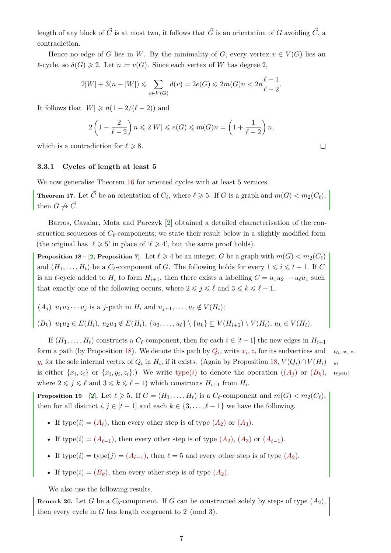length of any block of  $\vec{C}$  is at most two, it follows that  $\vec{G}$  is an orientation of *G* avoiding  $\vec{C}$ , a contradiction.

Hence no edge of *G* lies in *W*. By the minimality of *G*, every vertex  $v \in V(G)$  lies an  $\ell$ -cycle, so  $\delta(G) \geq 2$ . Let  $n := v(G)$ . Since each vertex of *W* has degree 2,

$$
2|W| + 3(n - |W|) \le \sum_{v \in V(G)} d(v) = 2e(G) \le 2m(G)n < 2n\frac{\ell - 1}{\ell - 2}.
$$

It follows that  $|W| \geq n(1 - 2/(\ell - 2))$  and

$$
2\left(1-\frac{2}{\ell-2}\right)n \leq 2|W| \leq e(G) \leq m(G)n = \left(1+\frac{1}{\ell-2}\right)n,
$$

which is a contradiction for  $\ell \geq 8$ .

#### **3.3.1 Cycles of length at least 5**

We now generalise Theorem [16](#page-5-1) for oriented cycles with at least 5 vertices.

<span id="page-6-0"></span>**Theorem 17.** Let  $\vec{C}$  be an orientation of  $C_{\ell}$ , where  $\ell \geq 5$ . If *G* is a graph and  $m(G) < m_2(C_{\ell})$ , then  $G \nrightarrow \vec{C}$ .

Barros, Cavalar, Mota and Parczyk [\[2\]](#page-11-2) obtained a detailed characterisation of the construction sequences of  $C_{\ell}$ -components; we state their result below in a slightly modified form (the original has ' $\ell \geq 5$ ' in place of ' $\ell \geq 4$ ', but the same proof holds).

<span id="page-6-1"></span>**Proposition 18 – [\[2,](#page-11-2) Proposition 7].** Let  $\ell \geq 4$  be an integer, *G* be a graph with  $m(G) < m_2(C_\ell)$ and  $(H_1, \ldots, H_t)$  be a  $C_\ell$ -component of *G*. The following holds for every  $1 \leq i \leq t - 1$ . If *C* is an  $\ell$ -cycle added to  $H_i$  to form  $H_{i+1}$ , then there exists a labelling  $C = u_1 u_2 \cdots u_\ell u_1$  such that exactly one of the following occurs, where  $2 \leq j \leq \ell$  and  $3 \leq k \leq \ell - 1$ .

 $(A_j)$   $u_1u_2\cdots u_j$  is a *j*-path in  $H_i$  and  $u_{j+1}, \ldots, u_\ell \notin V(H_i);$ 

 $(B_k)$   $u_1u_2 \in E(H_i)$ ,  $u_2u_3 \notin E(H_i)$ ,  $\{u_3, \ldots, u_\ell\} \setminus \{u_k\} \subseteq V(H_{i+1}) \setminus V(H_i)$ ,  $u_k \in V(H_i)$ .

If  $(H_1, \ldots, H_t)$  constructs a  $C_\ell$ -component, then for each  $i \in [t-1]$  the new edges in  $H_{i+1}$ form a path (by Proposition [18\)](#page-6-1). We denote this path by  $Q_i$ , write  $x_i, z_i$  for its endvertices and  $Q_i, x_i, z_i$ *y*<sub>*i*</sub> for the sole internal vertex of  $Q_i$  in  $H_i$ , if it exists. (Again by Proposition [18,](#page-6-1)  $V(Q_i) \cap V(H_i)$  *y<sub>i</sub>* is either  $\{x_i, z_i\}$  or  $\{x_i, y_i, z_i\}$ .) We write type(*i*) to denote the operation  $((A_j)$  $((A_j)$  $((A_j)$  or  $(B_k)$  $(B_k)$  $(B_k)$ , type(*i*) where  $2 \leqslant j \leqslant \ell$  and  $3 \leqslant k \leqslant \ell - 1$ ) which constructs  $H_{i+1}$  from  $H_i$ .

<span id="page-6-2"></span>**Proposition 19** – [\[2\]](#page-11-2). Let  $\ell \geq 5$ . If  $G = (H_1, \ldots, H_t)$  is a  $C_{\ell}$ -component and  $m(G) < m_2(C_{\ell}),$ then for all distinct  $i, j \in [t-1]$  and each  $k \in \{3, \ldots, \ell-1\}$  we have the following.

- If type(*i*) =  $(A_\ell)$  $(A_\ell)$  $(A_\ell)$ , then every other step is of type  $(A_2)$  or  $(A_3)$ .
- If type(*i*) =  $(A_{\ell-1})$  $(A_{\ell-1})$  $(A_{\ell-1})$ , then every other step is of type  $(A_2)$ ,  $(A_3)$  or  $(A_{\ell-1})$ .
- If  $type(i) = type(j) = (A_{\ell-1})$  $type(i) = type(j) = (A_{\ell-1})$  $type(i) = type(j) = (A_{\ell-1})$ , then  $\ell = 5$  and every other step is of type  $(A_2)$ .
- If type(*i*) =  $(B_k)$  $(B_k)$  $(B_k)$ , then every other step is of type  $(A_2)$  $(A_2)$  $(A_2)$ .

We also use the following results.

<span id="page-6-3"></span>**Remark 20.** Let *G* be a *C*5-component. If *G* can be constructed solely by steps of type (*A*2), then every cycle in *G* has length congruent to 2 (mod 3).

 $\Box$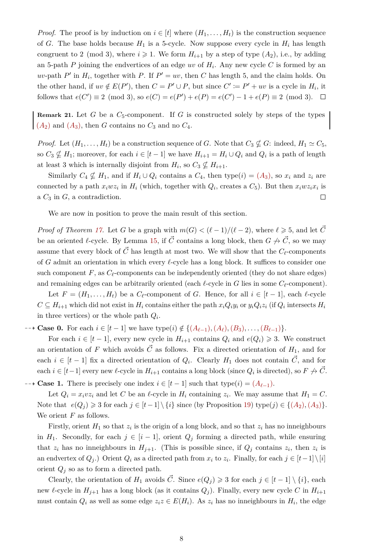*Proof.* The proof is by induction on  $i \in [t]$  where  $(H_1, \ldots, H_t)$  is the construction sequence of *G*. The base holds because  $H_1$  is a 5-cycle. Now suppose every cycle in  $H_i$  has length congruent to 2 (mod 3), where  $i \geq 1$ . We form  $H_{i+1}$  by a step of type  $(A_2)$ , i.e., by adding an 5-path  $P$  joining the endvertices of an edge  $uv$  of  $H_i$ . Any new cycle  $C$  is formed by an *uv*-path *P*<sup> $\prime$ </sup> in *H*<sub>*i*</sub>, together with *P*. If *P*<sup> $\prime$ </sup> = *uv*, then *C* has length 5, and the claim holds. On the other hand, if  $uv \notin E(P')$ , then  $C = P' \cup P$ , but since  $C' \coloneqq P' + uv$  is a cycle in  $H_i$ , it follows that  $e(C') \equiv 2 \pmod{3}$ , so  $e(C) = e(P') + e(P) = e(C') - 1 + e(P) \equiv 2 \pmod{3}$ .

<span id="page-7-0"></span>**Remark 21.** Let *G* be a  $C_5$ -component. If *G* is constructed solely by steps of the types  $(A_2)$  $(A_2)$  $(A_2)$  and  $(A_3)$ , then *G* contains no  $C_3$  and no  $C_4$ .

*Proof.* Let  $(H_1, \ldots, H_t)$  be a construction sequence of *G*. Note that  $C_3 \nsubseteq G$ : indeed,  $H_1 \simeq C_5$ , so  $C_3 \nsubseteq H_1$ ; moreover, for each  $i \in [t-1]$  we have  $H_{i+1} = H_i \cup Q_i$  and  $Q_i$  is a path of length at least 3 which is internally disjoint from  $H_i$ , so  $C_3 \nsubseteq H_{i+1}$ .

Similarly  $C_4 \nsubseteq H_1$ , and if  $H_i \cup Q_i$  contains a  $C_4$ , then type(*i*) = ( $A_3$  $A_3$ ), so  $x_i$  and  $z_i$  are connected by a path  $x_iwz_i$  in  $H_i$  (which, together with  $Q_i$ , creates a  $C_5$ ). But then  $x_iwz_ix_i$  is a *C*<sup>3</sup> in *G*, a contradiction.  $\Box$ 

We are now in position to prove the main result of this section.

*Proof of Theorem [17.](#page-6-0)* Let *G* be a graph with  $m(G) < (\ell - 1)/(\ell - 2)$ , where  $\ell \geq 5$ , and let  $\vec{C}$ be an oriented  $\ell$ -cycle. By Lemma [15,](#page-5-2) if  $\vec{C}$  contains a long block, then  $G \not\to \vec{C}$ , so we may assume that every block of  $\vec{C}$  has length at most two. We will show that the  $C_{\ell}$ -components of  $G$  admit an orientation in which every  $\ell$ -cycle has a long block. It suffices to consider one such component  $F$ , as  $C_\ell$ -components can be independently oriented (they do not share edges) and remaining edges can be arbitrarily oriented (each  $\ell$ -cycle in *G* lies in some  $C_{\ell}$ -component).

Let  $F = (H_1, \ldots, H_t)$  be a  $C_\ell$ -component of *G*. Hence, for all  $i \in [t-1]$ , each  $\ell$ -cycle  $C \subseteq H_{i+1}$  which did not exist in  $H_i$  contains either the path  $x_i Q_i y_i$  or  $y_i Q_i z_i$  (if  $Q_i$  intersects  $H_i$ in three vertices) or the whole path  $Q_i$ .

 $-\rightarrow$  **Case 0.** For each  $i \in [t-1]$  we have type(*i*) ∉ {( $A_{\ell-1}$  $A_{\ell-1}$ )*,*( $A_{\ell}$ )*,*( $B_3$  $B_3$ )*,...,*( $B_{\ell-1}$ )}.

For each  $i \in [t-1]$ , every new cycle in  $H_{i+1}$  contains  $Q_i$  and  $e(Q_i) \geq 3$ . We construct an orientation of *F* which avoids  $\vec{C}$  as follows. Fix a directed orientation of  $H_1$ , and for each  $i \in [t-1]$  fix a directed orientation of  $Q_i$ . Clearly  $H_1$  does not contain  $\vec{C}$ , and for  $\text{each } i \in [t-1] \text{ every new } \ell\text{-cycle in } H_{i+1} \text{ contains a long block (since } Q_i \text{ is directed}), \text{ so } F \not\to \vec{C}.$ 

 $\rightarrow$  **Case 1.** There is precisely one index *i* ∈ [*t* − 1] such that type(*i*) = ( $A_{\ell-1}$  $A_{\ell-1}$ ).

Let  $Q_i = x_i v z_i$  and let *C* be an  $\ell$ -cycle in  $H_i$  containing  $z_i$ . We may assume that  $H_1 = C$ . Note that  $e(Q_i) \ge 3$  for each  $j \in \{t-1\} \setminus \{i\}$  since (by Proposition [19\)](#page-6-2) type( $j$ ) ∈ {( $A_2$  $A_2$ )*,*( $A_3$ )}. We orient *F* as follows.

Firstly, orient  $H_1$  so that  $z_i$  is the origin of a long block, and so that  $z_i$  has no inneighbours in  $H_1$ . Secondly, for each  $j \in [i-1]$ , orient  $Q_j$  forming a directed path, while ensuring that  $z_i$  has no inneighbours in  $H_{j+1}$ . (This is possible since, if  $Q_j$  contains  $z_i$ , then  $z_i$  is an endvertex of  $Q_j$ .) Orient  $Q_i$  as a directed path from  $x_i$  to  $z_i$ . Finally, for each  $j \in [t-1] \setminus [i]$ orient  $Q_i$  so as to form a directed path.

Clearly, the orientation of  $H_1$  avoids  $\vec{C}$ . Since  $e(Q_i) \geq 3$  for each  $j \in [t-1] \setminus \{i\}$ , each new  $\ell$ -cycle in  $H_{j+1}$  has a long block (as it contains  $Q_j$ ). Finally, every new cycle *C* in  $H_{i+1}$ must contain  $Q_i$  as well as some edge  $z_i z \in E(H_i)$ . As  $z_i$  has no inneighbours in  $H_i$ , the edge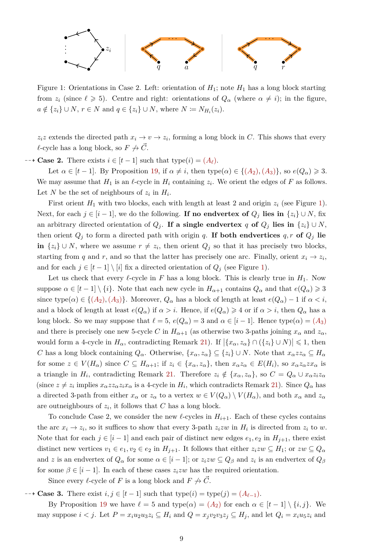

<span id="page-8-0"></span>Figure 1: Orientations in Case 2. Left: orientation of *H*1; note *H*<sup>1</sup> has a long block starting from  $z_i$  (since  $\ell \geq 5$ ). Centre and right: orientations of  $Q_\alpha$  (where  $\alpha \neq i$ ); in the figure, *a* ∉ { $z_i$ } ∪ *N*, *r* ∈ *N* and *q* ∈ { $z_i$ } ∪ *N*, where *N* :=  $N_{H_i}(z_i)$ .

 $z_i z$  extends the directed path  $x_i \to v \to z_i$ , forming a long block in *C*. This shows that every  $\ell$ -cycle has a long block, so  $F \nrightarrow \vec{C}$ .

 $\rightarrow$  **Case 2.** There exists *i* ∈ [*t* − 1] such that type(*i*) = (*[A](#page-6-1)*<sub>*t*</sub>).

Let  $\alpha \in [t-1]$ . By Proposition [19,](#page-6-2) if  $\alpha \neq i$ , then type( $\alpha$ )  $\in \{(A_2), (A_3)\}$  $\in \{(A_2), (A_3)\}$  $\in \{(A_2), (A_3)\}$ , so  $e(Q_\alpha) \geq 3$ . We may assume that  $H_1$  is an  $\ell$ -cycle in  $H_i$  containing  $z_i$ . We orient the edges of  $F$  as follows. Let *N* be the set of neighbours of  $z_i$  in  $H_i$ .

First orient  $H_1$  with two blocks, each with length at least 2 and origin  $z_i$  (see Figure [1\)](#page-8-0). Next, for each  $j \in [i-1]$ , we do the following. **If no endvertex of**  $Q_j$  **lies in**  $\{z_i\} \cup N$ , fix an arbitrary directed orientation of  $Q_j$ . If a single endvertex *q* of  $Q_j$  lies in  $\{z_i\} \cup N$ , then orient  $Q_j$  to form a directed path with origin q. If both endvertices  $q, r$  of  $Q_j$  lie **in**  $\{z_i\}$  ∪ *N*, where we assume  $r \neq z_i$ , then orient  $Q_j$  so that it has precisely two blocks, starting from *q* and *r*, and so that the latter has precisely one arc. Finally, orient  $x_i \to z_i$ , and for each  $j \in [t-1] \setminus [i]$  fix a directed orientation of  $Q_j$  (see Figure [1\)](#page-8-0).

Let us check that every  $\ell$ -cycle in *F* has a long block. This is clearly true in  $H_1$ . Now suppose  $\alpha \in [t-1] \setminus \{i\}$ . Note that each new cycle in  $H_{\alpha+1}$  contains  $Q_{\alpha}$  and that  $e(Q_{\alpha}) \geq 3$ since type $(\alpha) \in \{(A_2), (A_3)\}$  $(\alpha) \in \{(A_2), (A_3)\}$  $(\alpha) \in \{(A_2), (A_3)\}$ . Moreover,  $Q_\alpha$  has a block of length at least  $e(Q_\alpha) - 1$  if  $\alpha < i$ , and a block of length at least  $e(Q_\alpha)$  if  $\alpha > i$ . Hence, if  $e(Q_\alpha) \geq 4$  or if  $\alpha > i$ , then  $Q_\alpha$  has a long block. So we may suppose that  $\ell = 5$ ,  $e(Q_\alpha) = 3$  and  $\alpha \in [i-1]$ . Hence type( $\alpha$ ) = ([A](#page-6-1)<sub>3</sub>) and there is precisely one new 5-cycle *C* in  $H_{\alpha+1}$  (as otherwise two 3-paths joining  $x_{\alpha}$  and  $z_{\alpha}$ , would form a 4-cycle in  $H_{\alpha}$ , contradicting Remark [21\)](#page-7-0). If  $|\{x_{\alpha}, z_{\alpha}\} \cap (\{z_i\} \cup N)| \leq 1$ , then *C* has a long block containing  $Q_\alpha$ . Otherwise,  $\{x_\alpha, z_\alpha\} \subseteq \{z_i\} \cup N$ . Note that  $x_\alpha z z_\alpha \subseteq H_\alpha$ for some  $z \in V(H_\alpha)$  since  $C \subseteq H_{\alpha+1}$ ; if  $z_i \in \{x_\alpha, z_\alpha\}$ , then  $x_\alpha z_\alpha \in E(H_i)$ , so  $x_\alpha z_\alpha z x_\alpha$  is a triangle in  $H_i$ , contradicting Remark [21.](#page-7-0) Therefore  $z_i \notin \{x_\alpha, z_\alpha\}$ , so  $C = Q_\alpha \cup x_\alpha z_i z_\alpha$ (since  $z \neq z_i$  implies  $x_\alpha z z_\alpha z_i x_\alpha$  is a 4-cycle in  $H_i$ , which contradicts Remark [21\)](#page-7-0). Since  $Q_\alpha$  has a directed 3-path from either  $x_\alpha$  or  $z_\alpha$  to a vertex  $w \in V(Q_\alpha) \setminus V(H_\alpha)$ , and both  $x_\alpha$  and  $z_\alpha$ are outneighbours of *z<sup>i</sup>* , it follows that *C* has a long block.

To conclude Case 2, we consider the new  $\ell$ -cycles in  $H_{i+1}$ . Each of these cycles contains the arc  $x_i \to z_i$ , so it suffices to show that every 3-path  $z_izw$  in  $H_i$  is directed from  $z_i$  to  $w$ . Note that for each  $j \in [i-1]$  and each pair of distinct new edges  $e_1, e_2$  in  $H_{j+1}$ , there exist distinct new vertices  $v_1 \in e_1, v_2 \in e_2$  in  $H_{j+1}$ . It follows that either  $z_izw \subseteq H_1$ ; or  $zw \subseteq Q_\alpha$ and *z* is an endvertex of  $Q_{\alpha}$  for some  $\alpha \in [i-1]$ ; or  $z_i z w \subseteq Q_{\beta}$  and  $z_i$  is an endvertex of  $Q_{\beta}$ for some  $\beta \in [i-1]$ . In each of these cases  $z_izw$  has the required orientation.

Since every  $\ell$ -cycle of *F* is a long block and  $F \nrightarrow \vec{C}$ .

 $\rightarrow$  **Case 3.** There exist *i, j* ∈ [*t* − 1] such that type(*i*) = type(*j*) = ( $A_{\ell-1}$  $A_{\ell-1}$ ).

By Proposition [19](#page-6-2) we have  $\ell = 5$  and type( $\alpha$ ) = ( $A_2$  $A_2$ ) for each  $\alpha \in [t-1] \setminus \{i, j\}$ . We may suppose  $i < j$ . Let  $P = x_i u_2 u_3 z_i \subseteq H_i$  and  $Q = x_j v_2 v_3 z_j \subseteq H_j$ , and let  $Q_i = x_i u_5 z_i$  and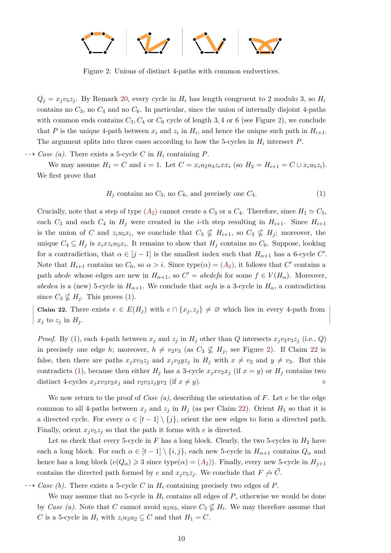

<span id="page-9-0"></span>Figure 2: Unions of distinct 4-paths with common endvertices.

 $Q_i = x_i v_5 z_i$ . By Remark [20,](#page-6-3) every cycle in  $H_i$  has length congruent to 2 modulo 3, so  $H_i$ contains no  $C_3$ , no  $C_4$  and no  $C_6$ . In particular, since the union of internally disjoint 4-paths with common ends contains  $C_3$ ,  $C_4$  or  $C_6$  cycle of length 3, 4 or 6 (see Figure [2\)](#page-9-0), we conclude that *P* is the unique 4-path between  $x_i$  and  $z_i$  in  $H_i$ , and hence the unique such path in  $H_{i+1}$ . The argument splits into three cases according to how the 5-cycles in  $H_i$  intersect  $P$ .

 $\rightarrow$  *Case (a).* There exists a 5-cycle *C* in  $H_i$  containing *P*.

We may assume  $H_1 = C$  and  $i = 1$ . Let  $C = x_i u_2 u_3 z_i x x_i$  (so  $H_2 = H_{i+1} = C \cup x_i u_5 z_i$ ). We first prove that

<span id="page-9-1"></span>
$$
H_j \text{ contains no } C_3 \text{, no } C_6 \text{, and precisely one } C_4. \tag{1}
$$

Crucially, note that a step of type  $(A_2)$  $(A_2)$  $(A_2)$  cannot create a  $C_3$  or a  $C_4$ . Therefore, since  $H_1 \simeq C_5$ , each  $C_3$  and each  $C_4$  in  $H_j$  were created in the *i*-th step resulting in  $H_{i+1}$ . Since  $H_{i+1}$ is the union of *C* and  $z_iu_5x_i$ , we conclude that  $C_3 \nsubseteq H_{i+1}$ , so  $C_3 \nsubseteq H_j$ ; moreover, the unique  $C_4 \subseteq H_j$  is  $x_i x z_i u_5 x_i$ . It remains to show that  $H_j$  contains no  $C_6$ . Suppose, looking for a contradiction, that  $\alpha \in [j-1]$  is the smallest index such that  $H_{\alpha+1}$  has a 6-cycle  $C'$ . Note that  $H_{i+1}$  contains no  $C_6$ , so  $\alpha > i$ . Since type $(\alpha) = (A_2)$  $(\alpha) = (A_2)$  $(\alpha) = (A_2)$ , it follows that  $C'$  contains a path *abcde* whose edges are new in  $H_{\alpha+1}$ , so  $C' = abcdefa$  for some  $f \in V(H_{\alpha})$ . Moreover, *abcdea* is a (new) 5-cycle in  $H_{\alpha+1}$ . We conclude that *aefa* is a 3-cycle in  $H_{\alpha}$ , a contradiction since  $C_3 \nsubseteq H_j$ . This proves [\(1\)](#page-9-1).

<span id="page-9-2"></span>**Claim 22.** There exists  $e \in E(H_j)$  with  $e \cap \{x_j, z_j\} \neq \emptyset$  which lies in every 4-path from  $x_j$  to  $z_j$  in  $H_j$ .

*Proof.* By [\(1\)](#page-9-1), each 4-path between  $x_j$  and  $z_j$  in  $H_j$  other than  $Q$  intersects  $x_jv_2v_3z_j$  (i.e.,  $Q$ ) in precisely one edge *h*; moreover,  $h \neq v_2v_3$  (as  $C_3 \nsubseteq H_i$ , see Figure [2\)](#page-9-0). If Claim [22](#page-9-2) is false, then there are paths  $x_j x v_3 z_j$  and  $x_j v_2 y z_j$  in  $H_j$  with  $x \neq v_2$  and  $y \neq v_3$ . But this contradicts [\(1\)](#page-9-1), because then either  $H_i$  has a 3-cycle  $x_j x v_2 x_j$  (if  $x = y$ ) or  $H_i$  contains two distinct 4-cycles  $x_j x v_3 v_2 x_j$  and  $v_2 v_3 z_j y v_2$  (if  $x \neq y$ ).

We now return to the proof of *Case (a)*, describing the orientation of *F*. Let *e* be the edge common to all 4-paths between  $x_j$  and  $z_j$  in  $H_j$  (as per Claim [22\)](#page-9-2). Orient  $H_1$  so that it is a directed cycle. For every  $\alpha \in [t-1] \setminus \{j\}$ , orient the new edges to form a directed path. Finally, orient  $x_jv_5z_j$  so that the path it forms with *e* is directed.

Let us check that every 5-cycle in  $F$  has a long block. Clearly, the two 5-cycles in  $H_2$  have each a long block. For each  $\alpha \in [t-1] \setminus \{i, j\}$ , each new 5-cycle in  $H_{\alpha+1}$  contains  $Q_{\alpha}$  and hence has a long block  $(e(Q_\alpha) \geq 3$  since type $(\alpha) = (A_2)$  $(\alpha) = (A_2)$  $(\alpha) = (A_2)$ ). Finally, every new 5-cycle in  $H_{j+1}$ contains the directed path formed by *e* and  $x_jv_5z_j$ . We conclude that  $F \nrightarrow C$ .

 $\rightarrow$  *Case (b).* There exists a 5-cycle *C* in  $H_i$  containing precisely two edges of *P*.

We may assume that no 5-cycle in  $H_i$  contains all edges of  $P$ , otherwise we would be done by *Case (a)*. Note that *C* cannot avoid  $u_2u_3$ , since  $C_3 \nsubseteq H_i$ . We may therefore assume that *C* is a 5-cycle in  $H_i$  with  $z_i u_3 u_2 \subseteq C$  and that  $H_1 = C$ .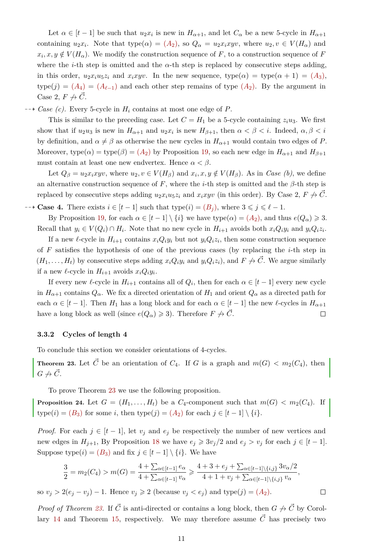Let  $\alpha \in [t-1]$  be such that  $u_2x_i$  is new in  $H_{\alpha+1}$ , and let  $C_{\alpha}$  be a new 5-cycle in  $H_{\alpha+1}$ containing  $u_2x_i$ . Note that  $type(\alpha) = (A_2)$  $type(\alpha) = (A_2)$  $type(\alpha) = (A_2)$ , so  $Q_\alpha = u_2x_ixyv$ , where  $u_2, v \in V(H_\alpha)$  and  $x_i, x, y \notin V(H_\alpha)$ . We modify the construction sequence of *F*, to a construction sequence of *F* where the *i*-th step is omitted and the  $\alpha$ -th step is replaced by consecutive steps adding, in this order,  $u_2x_iu_5z_i$  and  $x_ixyv$ . In the new sequence, type( $\alpha$ ) = type( $\alpha + 1$ ) = ( $A_3$  $A_3$ ),  $type(j) = (A_4) = (A_{\ell-1})$  $type(j) = (A_4) = (A_{\ell-1})$  $type(j) = (A_4) = (A_{\ell-1})$  and each other step remains of type  $(A_2)$ . By the argument in Case 2,  $F \nrightarrow \vec{C}$ .

 $\rightarrow$  *Case (c).* Every 5-cycle in  $H_i$  contains at most one edge of *P*.

This is similar to the preceding case. Let  $C = H_1$  be a 5-cycle containing  $z_i u_3$ . We first show that if  $u_2u_3$  is new in  $H_{\alpha+1}$  and  $u_2x_i$  is new  $H_{\beta+1}$ , then  $\alpha < \beta < i$ . Indeed,  $\alpha, \beta < i$ by definition, and  $\alpha \neq \beta$  as otherwise the new cycles in  $H_{\alpha+1}$  would contain two edges of *P*. Moreover, type $(\alpha)$  = type $(\beta)$  =  $(A_2)$  $(A_2)$  $(A_2)$  by Proposition [19,](#page-6-2) so each new edge in  $H_{\alpha+1}$  and  $H_{\beta+1}$ must contain at least one new endvertex. Hence  $\alpha < \beta$ .

Let  $Q_{\beta} = u_2 x_i xyv$ , where  $u_2, v \in V(H_{\beta})$  and  $x_i, x, y \notin V(H_{\beta})$ . As in *Case (b)*, we define an alternative construction sequence of  $F$ , where the *i*-th step is omitted and the  $\beta$ -th step is replaced by consecutive steps adding  $u_2x_iu_5z_i$  and  $x_ixyv$  (in this order). By Case 2,  $F \nrightarrow C$ .

 $\rightarrow$  **Case 4.** There exists *i* ∈ [*t* − 1] such that type(*i*) = (*[B](#page-6-1)<sub><i>i*</sub>), where  $3 \leq j \leq l - 1$ .

By Proposition [19,](#page-6-2) for each  $\alpha \in [t-1] \setminus \{i\}$  we have type $(\alpha) = (A_2)$  $(\alpha) = (A_2)$  $(\alpha) = (A_2)$ , and thus  $e(Q_\alpha) \geq 3$ . Recall that  $y_i \in V(Q_i) \cap H_i$ . Note that no new cycle in  $H_{i+1}$  avoids both  $x_i Q_i y_i$  and  $y_i Q_i z_i$ .

If a new  $\ell$ -cycle in  $H_{i+1}$  contains  $x_i Q_i y_i$  but not  $y_i Q_i z_i$ , then some construction sequence of *F* satisfies the hypothesis of one of the previous cases (by replacing the *i*-th step in  $(H_1, \ldots, H_t)$  by consecutive steps adding  $x_i Q_i y_i$  and  $y_i Q_i z_i$ , and  $F \nrightarrow C$ . We argue similarly if a new  $\ell$ -cycle in  $H_{i+1}$  avoids  $x_i Q_i y_i$ .

If every new  $\ell$ -cycle in  $H_{i+1}$  contains all of  $Q_i$ , then for each  $\alpha \in [t-1]$  every new cycle in  $H_{\alpha+1}$  contains  $Q_{\alpha}$ . We fix a directed orientation of  $H_1$  and orient  $Q_{\alpha}$  as a directed path for each  $\alpha \in [t-1]$ . Then  $H_1$  has a long block and for each  $\alpha \in [t-1]$  the new  $\ell$ -cycles in  $H_{\alpha+1}$ have a long block as well (since  $e(Q_\alpha) \geq 3$ ). Therefore  $F \nrightarrow \vec{C}$ .  $\Box$ 

### **3.3.2 Cycles of length 4**

To conclude this section we consider orientations of 4-cycles.

<span id="page-10-0"></span>**Theorem 23.** Let  $\vec{C}$  be an orientation of  $C_4$ . If *G* is a graph and  $m(G) < m_2(C_4)$ , then  $G \nrightarrow \vec{C}$ .

To prove Theorem [23](#page-10-0) we use the following proposition.

<span id="page-10-1"></span>**Proposition 24.** Let  $G = (H_1, \ldots, H_t)$  be a  $C_4$ -component such that  $m(G) < m_2(C_4)$ . If type(*i*) = (*[B](#page-6-1)*<sub>3</sub>) for some *i*, then type(*j*) = (*[A](#page-6-1)*<sub>2</sub>) for each  $j \in [t-1] \setminus \{i\}$ .

*Proof.* For each  $j \in [t-1]$ , let  $v_j$  and  $e_j$  be respectively the number of new vertices and new edges in  $H_{j+1}$ , By Proposition [18](#page-6-1) we have  $e_j \geqslant 3v_j/2$  and  $e_j > v_j$  for each  $j \in [t-1]$ . Suppose type $(i) = (B_3)$  $(i) = (B_3)$  $(i) = (B_3)$  and fix  $j \in [t-1] \setminus \{i\}$ . We have

$$
\frac{3}{2} = m_2(C_4) > m(G) = \frac{4 + \sum_{\alpha \in [t-1]} e_{\alpha}}{4 + \sum_{\alpha \in [t-1]} v_{\alpha}} \ge \frac{4 + 3 + e_j + \sum_{\alpha \in [t-1] \setminus \{i,j\}} 3v_{\alpha}/2}{4 + 1 + v_j + \sum_{\alpha \in [t-1] \setminus \{i,j\}} v_{\alpha}},
$$

 $\Box$ 

so  $v_j > 2(e_j - v_j) - 1$ . Hence  $v_j \ge 2$  (because  $v_j < e_j$ ) and type(*j*) = (*[A](#page-6-1)*<sub>2</sub>).

*Proof of Theorem [23.](#page-10-0)* If  $\vec{C}$  is anti-directed or contains a long block, then  $G \nrightarrow \vec{C}$  by Corol-lary [14](#page-5-3) and Theorem [15,](#page-5-2) respectively. We may therefore assume  $\vec{C}$  has precisely two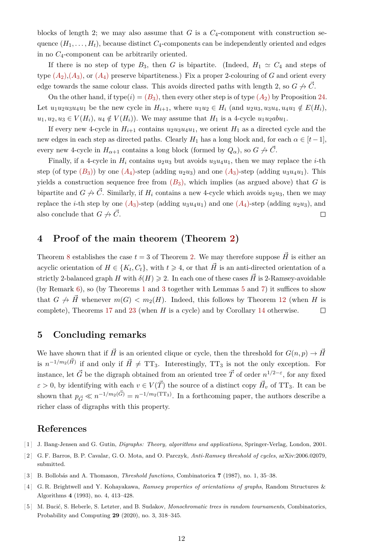blocks of length 2; we may also assume that  $G$  is a  $C_4$ -component with construction sequence  $(H_1, \ldots, H_t)$ , because distinct  $C_4$ -components can be independently oriented and edges in no *C*4-component can be arbitrarily oriented.

If there is no step of type  $B_3$ , then *G* is bipartite. (Indeed,  $H_1 \simeq C_4$  and steps of type  $(A_2), (A_3)$  $(A_2), (A_3)$  $(A_2), (A_3)$ , or  $(A_4)$  preserve bipartiteness.) Fix a proper 2-colouring of *G* and orient every edge towards the same colour class. This avoids directed paths with length 2, so  $G \nrightarrow C$ .

On the other hand, if type( $i$ ) = ( $B_3$  $B_3$ ), then every other step is of type ( $A_2$  $A_2$ ) by Proposition [24.](#page-10-1) Let  $u_1u_2u_3u_4u_1$  be the new cycle in  $H_{i+1}$ , where  $u_1u_2 \in H_i$  (and  $u_2u_3, u_3u_4, u_4u_1 \notin E(H_i)$ ,  $u_1, u_2, u_3 \in V(H_i)$ ,  $u_4 \notin V(H_i)$ ). We may assume that  $H_1$  is a 4-cycle  $u_1u_2abu_1$ .

If every new 4-cycle in  $H_{i+1}$  contains  $u_2u_3u_4u_1$ , we orient  $H_1$  as a directed cycle and the new edges in each step as directed paths. Clearly  $H_1$  has a long block and, for each  $\alpha \in [t-1]$ , every new 4-cycle in  $H_{\alpha+1}$  contains a long block (formed by  $Q_{\alpha}$ ), so  $G \nrightarrow \vec{C}$ .

Finally, if a 4-cycle in  $H_i$  contains  $u_2u_3$  but avoids  $u_3u_4u_1$ , then we may replace the *i*-th step (of type  $(B_3)$  $(B_3)$  $(B_3)$ ) by one  $(A_4)$  $(A_4)$  $(A_4)$ -step (adding  $u_2u_3$ ) and one  $(A_3)$ -step (adding  $u_3u_4u_1$ ). This yields a construction sequence free from  $(B_3)$  $(B_3)$  $(B_3)$ , which implies (as argued above) that *G* is bipartite and  $G \nrightarrow \vec{C}$ . Similarly, if  $H_i$  contains a new 4-cycle which avoids  $u_2u_3$ , then we may replace the *i*-th step by one  $(A_3)$  $(A_3)$  $(A_3)$ -step (adding  $u_3u_4u_1$ ) and one  $(A_4)$ -step (adding  $u_2u_3$ ), and also conclude that  $G \nrightarrow \overrightarrow{C}$ .  $\Box$ 

## <span id="page-11-3"></span>**4 Proof of the main theorem (Theorem [2\)](#page-1-0)**

Theorem [8](#page-3-0) establishes the case  $t = 3$  of Theorem [2.](#page-1-0) We may therefore suppose  $\vec{H}$  is either an acyclic orientation of  $H \in \{K_t, C_t\}$ , with  $t \geq 4$ , or that  $\vec{H}$  is an anti-directed orientation of a strictly 2-balanced graph *H* with  $\delta(H) \geq 2$ . In each one of these cases  $\vec{H}$  is 2-Ramsey-avoidable (by Remark [6\)](#page-2-0), so (by Theorems [1](#page-0-4) and [3](#page-1-1) together with Lemmas [5](#page-2-1) and [7\)](#page-2-2) it suffices to show that  $G \nightharpoonup \overrightarrow{H}$  whenever  $m(G) < m_2(H)$ . Indeed, this follows by Theorem [12](#page-4-0) (when *H* is complete), Theorems [17](#page-6-0) and [23](#page-10-0) (when *H* is a cycle) and by Corollary [14](#page-5-3) otherwise.  $\Box$ 

## **5 Concluding remarks**

We have shown that if  $\vec{H}$  is an oriented clique or cycle, then the threshold for  $G(n, p) \rightarrow \vec{H}$ is  $n^{-1/m_2(\vec{H})}$  if and only if  $\vec{H} \neq TT_3$ . Interestingly, TT<sub>3</sub> is not the only exception. For instance, let  $\vec{G}$  be the digraph obtained from an oriented tree  $\vec{T}$  of order  $n^{1/2-\epsilon}$ , for any fixed  $\varepsilon > 0$ , by identifying with each  $v \in V(\vec{T})$  the source of a distinct copy  $\vec{H}_v$  of TT<sub>3</sub>. It can be shown that  $p_{\vec{G}} \ll n^{-1/m_2(\vec{G})} = n^{-1/m_2(\text{TT}_3)}$ . In a forthcoming paper, the authors describe a richer class of digraphs with this property.

# <span id="page-11-0"></span>**References**

- [ 1 ] J. Bang-Jensen and G. Gutin, *Digraphs: Theory, algorithms and applications*, Springer-Verlag, London, 2001.
- <span id="page-11-2"></span>[ 2 ] G. F. Barros, B. P. Cavalar, G. O. Mota, and O. Parczyk, *Anti-Ramsey threshold of cycles*, [arXiv:2006.02079,](http://arxiv.org/abs/2006.02079) submitted.
- <span id="page-11-1"></span>[ 3 ] B. Bollobás and A. Thomason, *Threshold functions*, Combinatorica **7** (1987), no. 1, 35–38.
- <span id="page-11-4"></span>[ 4 ] G. R. Brightwell and Y. Kohayakawa, *Ramsey properties of orientations of graphs*, Random Structures & Algorithms **4** (1993), no. 4, 413–428.
- <span id="page-11-5"></span>[ 5 ] M. Bucić, S. Heberle, S. Letzter, and B. Sudakov, *Monochromatic trees in random tournaments*, Combinatorics, Probability and Computing **29** (2020), no. 3, 318–345.